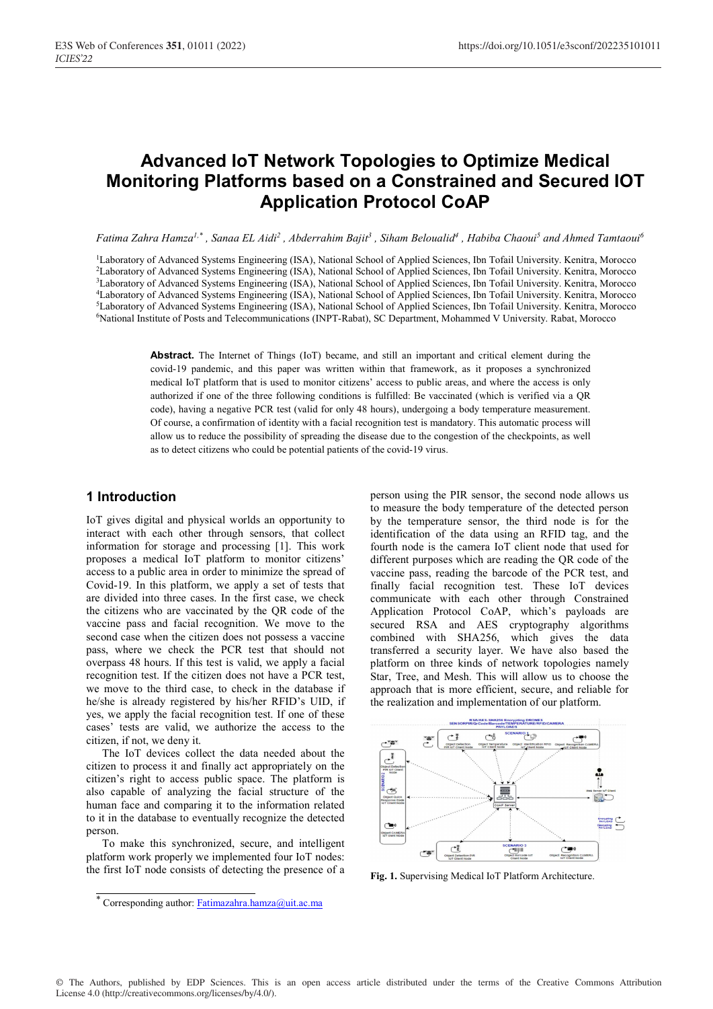# **Advanced IoT Network Topologies to Optimize Medical Monitoring Platforms based on a Constrained and Secured IOT Application Protocol CoAP**

 $F$ atima Zahra Hamza<sup>1,\*</sup> , Sanaa EL Aidi<sup>2</sup> , Abderrahim Bajit<sup>3</sup> , Siham Beloualid<sup>4</sup> , Habiba Chaoui<sup>5</sup> and Ahmed Tamtaoui<sup>6</sup>

<sup>1</sup>Laboratory of Advanced Systems Engineering (ISA), National School of Applied Sciences, Ibn Tofail University. Kenitra, Morocco 2Laboratory of Advanced Systems Engineering (ISA), National School of Applied Sciences, Ibn Tofail University. Kenitra, Morocco <sup>3</sup>Laboratory of Advanced Systems Engineering (ISA), National School of Applied Sciences, Ibn Tofail University. Kenitra, Morocco 4Laboratory of Advanced Systems Engineering (ISA), National School of Applied Sciences, Ibn Tofail University. Kenitra, Morocco 5Laboratory of Advanced Systems Engineering (ISA), National School of Applied Sciences, Ibn Tofail University. Kenitra, Morocco 6National Institute of Posts and Telecommunications (INPT-Rabat), SC Department, Mohammed V University. Rabat, Morocco

> **Abstract.** The Internet of Things (IoT) became, and still an important and critical element during the covid-19 pandemic, and this paper was written within that framework, as it proposes a synchronized medical IoT platform that is used to monitor citizens' access to public areas, and where the access is only authorized if one of the three following conditions is fulfilled: Be vaccinated (which is verified via a QR code), having a negative PCR test (valid for only 48 hours), undergoing a body temperature measurement. Of course, a confirmation of identity with a facial recognition test is mandatory. This automatic process will allow us to reduce the possibility of spreading the disease due to the congestion of the checkpoints, as well as to detect citizens who could be potential patients of the covid-19 virus.

# **1 Introduction**

IoT gives digital and physical worlds an opportunity to interact with each other through sensors, that collect information for storage and processing [1]. This work proposes a medical IoT platform to monitor citizens' access to a public area in order to minimize the spread of Covid-19. In this platform, we apply a set of tests that are divided into three cases. In the first case, we check the citizens who are vaccinated by the QR code of the vaccine pass and facial recognition. We move to the second case when the citizen does not possess a vaccine pass, where we check the PCR test that should not overpass 48 hours. If this test is valid, we apply a facial recognition test. If the citizen does not have a PCR test, we move to the third case, to check in the database if he/she is already registered by his/her RFID's UID, if yes, we apply the facial recognition test. If one of these cases' tests are valid, we authorize the access to the citizen, if not, we deny it.

The IoT devices collect the data needed about the citizen to process it and finally act appropriately on the citizen's right to access public space. The platform is also capable of analyzing the facial structure of the human face and comparing it to the information related to it in the database to eventually recognize the detected person.

To make this synchronized, secure, and intelligent platform work properly we implemented four IoT nodes: the first IoT node consists of detecting the presence of a

person using the PIR sensor, the second node allows us to measure the body temperature of the detected person by the temperature sensor, the third node is for the identification of the data using an RFID tag, and the fourth node is the camera IoT client node that used for different purposes which are reading the QR code of the vaccine pass, reading the barcode of the PCR test, and finally facial recognition test. These IoT devices communicate with each other through Constrained Application Protocol CoAP, which's payloads are secured RSA and AES cryptography algorithms combined with SHA256, which gives the data transferred a security layer. We have also based the platform on three kinds of network topologies namely Star, Tree, and Mesh. This will allow us to choose the approach that is more efficient, secure, and reliable for the realization and implementation of our platform.



**Fig. 1.** Supervising Medical IoT Platform Architecture.

© The Authors, published by EDP Sciences. This is an open access article distributed under the terms of the Creative Commons Attribution License 4.0 (http://creativecommons.org/licenses/by/4.0/).

<sup>\*</sup> Corresponding author: Fatimazahra.hamza@uit.ac.ma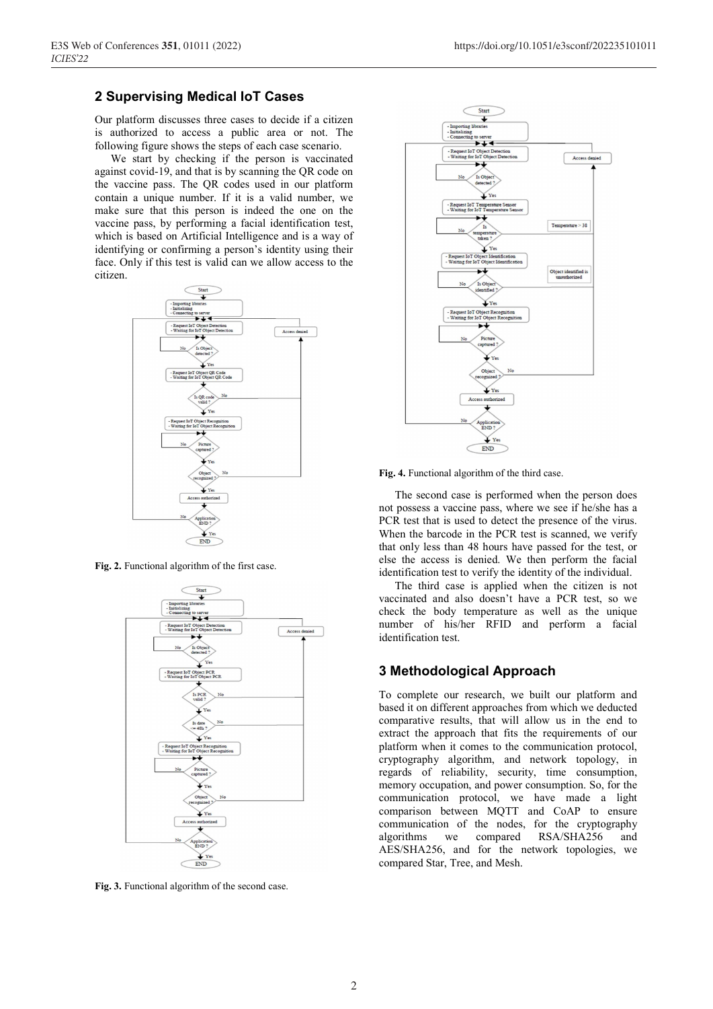## **2 Supervising Medical IoT Cases**

Our platform discusses three cases to decide if a citizen is authorized to access a public area or not. The following figure shows the steps of each case scenario.

We start by checking if the person is vaccinated against covid-19, and that is by scanning the QR code on the vaccine pass. The QR codes used in our platform contain a unique number. If it is a valid number, we make sure that this person is indeed the one on the vaccine pass, by performing a facial identification test, which is based on Artificial Intelligence and is a way of identifying or confirming a person's identity using their face. Only if this test is valid can we allow access to the citizen.



**Fig. 2.** Functional algorithm of the first case.



**Fig. 3.** Functional algorithm of the second case.



**Fig. 4.** Functional algorithm of the third case.

The second case is performed when the person does not possess a vaccine pass, where we see if he/she has a PCR test that is used to detect the presence of the virus. When the barcode in the PCR test is scanned, we verify that only less than 48 hours have passed for the test, or else the access is denied. We then perform the facial identification test to verify the identity of the individual.

The third case is applied when the citizen is not vaccinated and also doesn't have a PCR test, so we check the body temperature as well as the unique number of his/her RFID and perform a facial identification test.

## **3 Methodological Approach**

To complete our research, we built our platform and based it on different approaches from which we deducted comparative results, that will allow us in the end to extract the approach that fits the requirements of our platform when it comes to the communication protocol, cryptography algorithm, and network topology, in regards of reliability, security, time consumption, memory occupation, and power consumption. So, for the communication protocol, we have made a light comparison between MQTT and CoAP to ensure communication of the nodes, for the cryptography algorithms we compared RSA/SHA256 and AES/SHA256, and for the network topologies, we compared Star, Tree, and Mesh.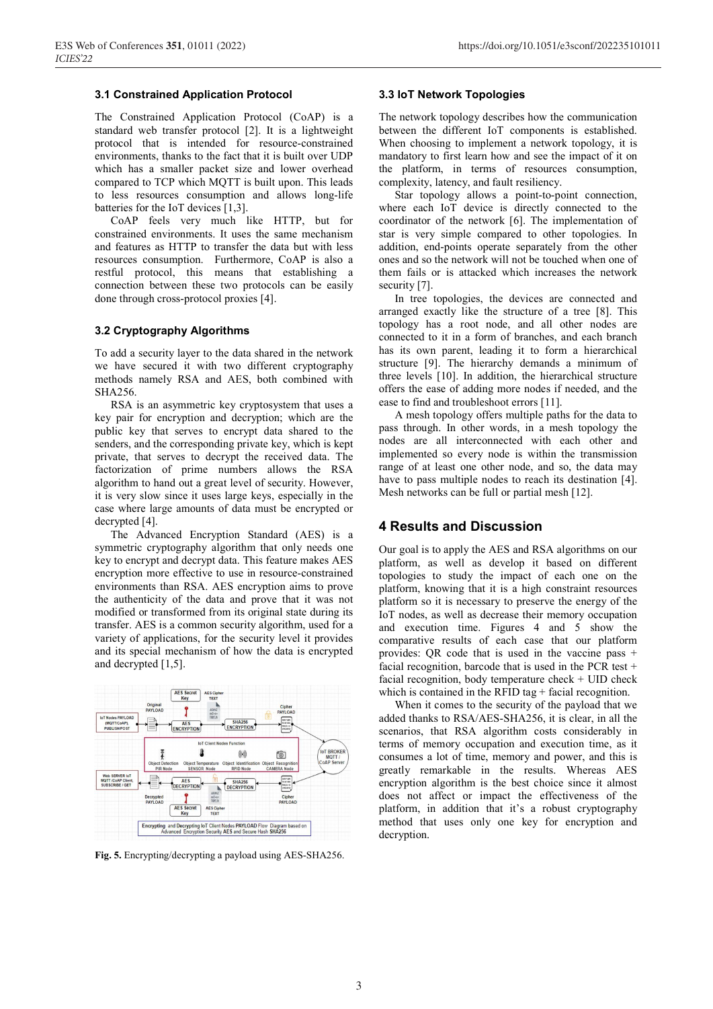## **3.1 Constrained Application Protocol**

The Constrained Application Protocol (CoAP) is a standard web transfer protocol [2]. It is a lightweight protocol that is intended for resource-constrained environments, thanks to the fact that it is built over UDP which has a smaller packet size and lower overhead compared to TCP which MQTT is built upon. This leads to less resources consumption and allows long-life batteries for the IoT devices [1,3].

CoAP feels very much like HTTP, but for constrained environments. It uses the same mechanism and features as HTTP to transfer the data but with less resources consumption. Furthermore, CoAP is also a restful protocol, this means that establishing a connection between these two protocols can be easily done through cross-protocol proxies [4].

#### **3.2 Cryptography Algorithms**

To add a security layer to the data shared in the network we have secured it with two different cryptography methods namely RSA and AES, both combined with SHA256.

RSA is an asymmetric key cryptosystem that uses a key pair for encryption and decryption; which are the public key that serves to encrypt data shared to the senders, and the corresponding private key, which is kept private, that serves to decrypt the received data. The factorization of prime numbers allows the RSA algorithm to hand out a great level of security. However, it is very slow since it uses large keys, especially in the case where large amounts of data must be encrypted or decrypted [4].

The Advanced Encryption Standard (AES) is a symmetric cryptography algorithm that only needs one key to encrypt and decrypt data. This feature makes AES encryption more effective to use in resource-constrained environments than RSA. AES encryption aims to prove the authenticity of the data and prove that it was not modified or transformed from its original state during its transfer. AES is a common security algorithm, used for a variety of applications, for the security level it provides and its special mechanism of how the data is encrypted and decrypted [1,5].



**Fig. 5.** Encrypting/decrypting a payload using AES-SHA256.

#### **3.3 IoT Network Topologies**

The network topology describes how the communication between the different IoT components is established. When choosing to implement a network topology, it is mandatory to first learn how and see the impact of it on the platform, in terms of resources consumption, complexity, latency, and fault resiliency.

Star topology allows a point-to-point connection, where each IoT device is directly connected to the coordinator of the network [6]. The implementation of star is very simple compared to other topologies. In addition, end-points operate separately from the other ones and so the network will not be touched when one of them fails or is attacked which increases the network security [7].

In tree topologies, the devices are connected and arranged exactly like the structure of a tree [8]. This topology has a root node, and all other nodes are connected to it in a form of branches, and each branch has its own parent, leading it to form a hierarchical structure [9]. The hierarchy demands a minimum of three levels [10]. In addition, the hierarchical structure offers the ease of adding more nodes if needed, and the ease to find and troubleshoot errors [11].

A mesh topology offers multiple paths for the data to pass through. In other words, in a mesh topology the nodes are all interconnected with each other and implemented so every node is within the transmission range of at least one other node, and so, the data may have to pass multiple nodes to reach its destination [4]. Mesh networks can be full or partial mesh [12].

## **4 Results and Discussion**

Our goal is to apply the AES and RSA algorithms on our platform, as well as develop it based on different topologies to study the impact of each one on the platform, knowing that it is a high constraint resources platform so it is necessary to preserve the energy of the IoT nodes, as well as decrease their memory occupation and execution time. Figures 4 and 5 show the comparative results of each case that our platform provides: QR code that is used in the vaccine pass + facial recognition, barcode that is used in the PCR test + facial recognition, body temperature check  $+$  UID check which is contained in the RFID tag  $+$  facial recognition.

When it comes to the security of the payload that we added thanks to RSA/AES-SHA256, it is clear, in all the scenarios, that RSA algorithm costs considerably in terms of memory occupation and execution time, as it consumes a lot of time, memory and power, and this is greatly remarkable in the results. Whereas AES encryption algorithm is the best choice since it almost does not affect or impact the effectiveness of the platform, in addition that it's a robust cryptography method that uses only one key for encryption and decryption.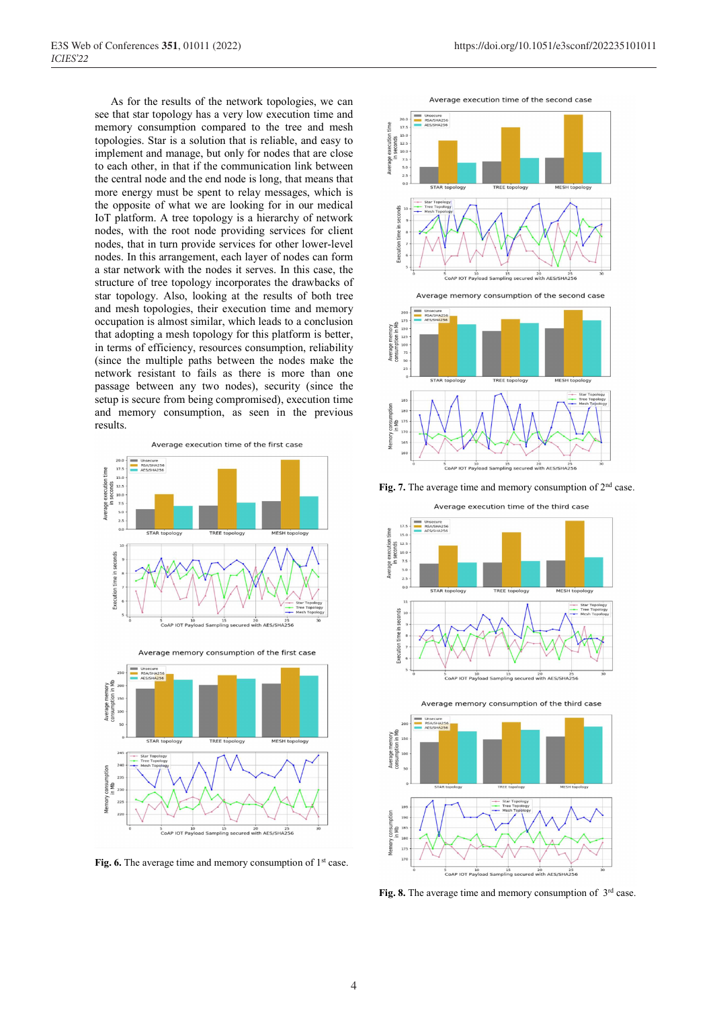As for the results of the network topologies, we can see that star topology has a very low execution time and memory consumption compared to the tree and mesh topologies. Star is a solution that is reliable, and easy to implement and manage, but only for nodes that are close to each other, in that if the communication link between the central node and the end node is long, that means that more energy must be spent to relay messages, which is the opposite of what we are looking for in our medical IoT platform. A tree topology is a hierarchy of network nodes, with the root node providing services for client nodes, that in turn provide services for other lower-level nodes. In this arrangement, each layer of nodes can form a star network with the nodes it serves. In this case, the structure of tree topology incorporates the drawbacks of star topology. Also, looking at the results of both tree and mesh topologies, their execution time and memory occupation is almost similar, which leads to a conclusion that adopting a mesh topology for this platform is better, in terms of efficiency, resources consumption, reliability (since the multiple paths between the nodes make the network resistant to fails as there is more than one passage between any two nodes), security (since the setup is secure from being compromised), execution time and memory consumption, as seen in the previous results.





Average memory consumption of the first case

Fig. 6. The average time and memory consumption of 1<sup>st</sup> case.









**Fig. 7.** The average time and memory consumption of 2nd case.

Average execution time of the third case



Average memory consumption of the third case



Fig. 8. The average time and memory consumption of 3<sup>rd</sup> case.